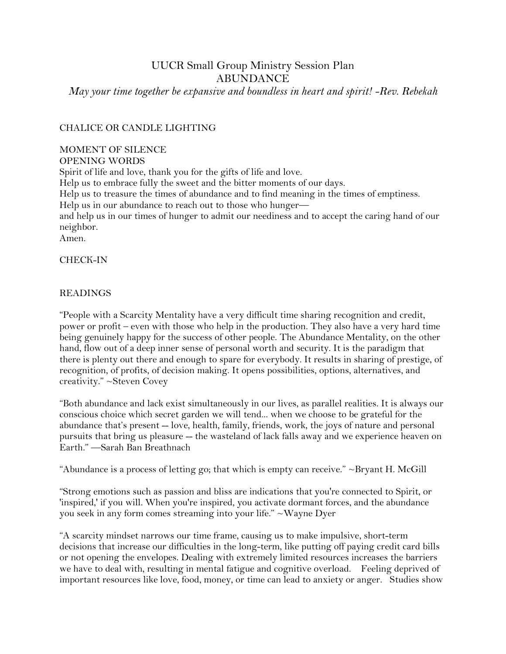# UUCR Small Group Ministry Session Plan ABUNDANCE

*May your time together be expansive and boundless in heart and spirit! -Rev. Rebekah*

## CHALICE OR CANDLE LIGHTING

#### MOMENT OF SILENCE

OPENING WORDS

Spirit of life and love, thank you for the gifts of life and love. Help us to embrace fully the sweet and the bitter moments of our days. Help us to treasure the times of abundance and to find meaning in the times of emptiness. Help us in our abundance to reach out to those who hunger and help us in our times of hunger to admit our neediness and to accept the caring hand of our neighbor. Amen.

#### CHECK-IN

#### READINGS

"People with a Scarcity Mentality have a very difficult time sharing recognition and credit, power or profit – even with those who help in the production. They also have a very hard time being genuinely happy for the success of other people. The Abundance Mentality, on the other hand, flow out of a deep inner sense of personal worth and security. It is the paradigm that there is plenty out there and enough to spare for everybody. It results in sharing of prestige, of recognition, of profits, of decision making. It opens possibilities, options, alternatives, and creativity." ~Steven Covey

"Both abundance and lack exist simultaneously in our lives, as parallel realities. It is always our conscious choice which secret garden we will tend... when we choose to be grateful for the abundance that's present -- love, health, family, friends, work, the joys of nature and personal pursuits that bring us pleasure -- the wasteland of lack falls away and we experience heaven on Earth." —Sarah Ban Breathnach

"[Abundance is a process of letting go; that which is empty can receive.](http://www.brainyquote.com/quotes/quotes/b/bryanthmc502451.html?src=t_abundance)" [~Bryant H. McGill](http://www.brainyquote.com/quotes/authors/b/bryant_h_mcgill.html)

"[Strong emotions such as passion and bliss are indications that you're connected to Spirit, or](http://www.brainyquote.com/quotes/quotes/w/waynedyer718017.html?src=t_abundance)  ['inspired,' if you will. When you're inspired, you activate dormant forces, and the abundance](http://www.brainyquote.com/quotes/quotes/w/waynedyer718017.html?src=t_abundance)  [you seek in any form comes streaming into your life.](http://www.brainyquote.com/quotes/quotes/w/waynedyer718017.html?src=t_abundance)" [~Wayne Dyer](http://www.brainyquote.com/quotes/authors/w/wayne_dyer.html)

"A scarcity mindset narrows our time frame, causing us to make [impulsive,](http://www.psychologytoday.com/basics/self-control) short-term decisions that increase our difficulties in the long-term, like putting off paying credit card bills or not opening the envelopes. Dealing with extremely limited resources increases the barriers we have to deal with, resulting in mental fatigue and cognitive overload. Feeling deprived of important resources like love, food, money, or time can lead to anxiety or anger. Studies show